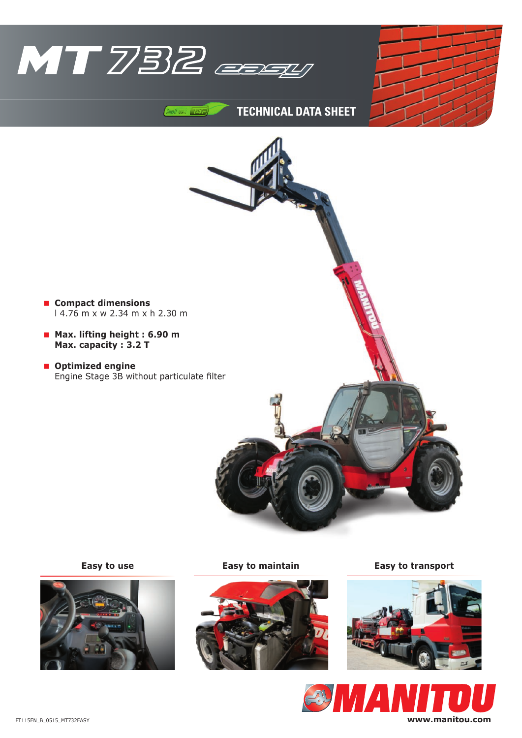

 $74F$ 





**TEchnicAL DATA ShEET**

**Compact dimensions**

**Optimized engine**

 **Max. lifting height : 6.90 m Max. capacity : 3.2 T**





**Easy to use Easy to maintain Easy to transport**